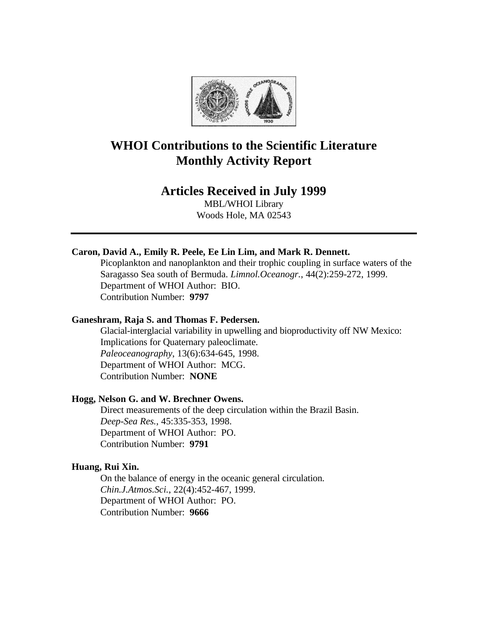

# **WHOI Contributions to the Scientific Literature Monthly Activity Report**

# **Articles Received in July 1999**

MBL/WHOI Library Woods Hole, MA 02543

# **Caron, David A., Emily R. Peele, Ee Lin Lim, and Mark R. Dennett.**

Picoplankton and nanoplankton and their trophic coupling in surface waters of the Saragasso Sea south of Bermuda. *Limnol.Oceanogr.*, 44(2):259-272, 1999. Department of WHOI Author: BIO. Contribution Number: **9797**

## **Ganeshram, Raja S. and Thomas F. Pedersen.**

Glacial-interglacial variability in upwelling and bioproductivity off NW Mexico: Implications for Quaternary paleoclimate. *Paleoceanography*, 13(6):634-645, 1998. Department of WHOI Author: MCG. Contribution Number: **NONE**

#### **Hogg, Nelson G. and W. Brechner Owens.**

Direct measurements of the deep circulation within the Brazil Basin. *Deep-Sea Res.*, 45:335-353, 1998. Department of WHOI Author: PO. Contribution Number: **9791**

#### **Huang, Rui Xin.**

On the balance of energy in the oceanic general circulation. *Chin.J.Atmos.Sci.*, 22(4):452-467, 1999. Department of WHOI Author: PO. Contribution Number: **9666**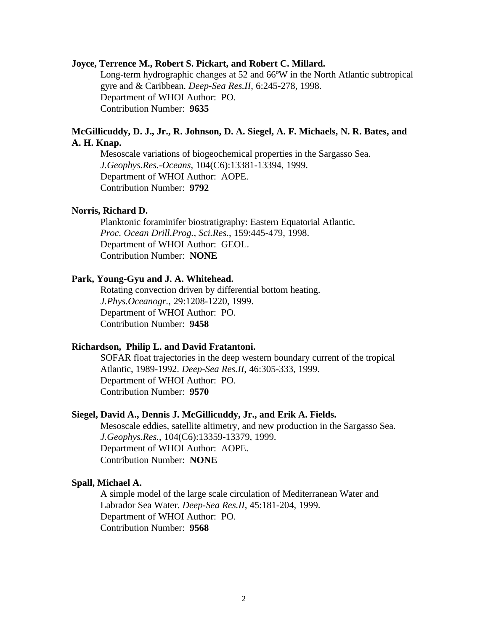#### **Joyce, Terrence M., Robert S. Pickart, and Robert C. Millard.**

Long-term hydrographic changes at 52 and 66ºW in the North Atlantic subtropical gyre and & Caribbean. *Deep-Sea Res.II*, 6:245-278, 1998. Department of WHOI Author: PO. Contribution Number: **9635**

## **McGillicuddy, D. J., Jr., R. Johnson, D. A. Siegel, A. F. Michaels, N. R. Bates, and A. H. Knap.**

Mesoscale variations of biogeochemical properties in the Sargasso Sea. *J.Geophys.Res.-Oceans*, 104(C6):13381-13394, 1999. Department of WHOI Author: AOPE. Contribution Number: **9792**

#### **Norris, Richard D.**

Planktonic foraminifer biostratigraphy: Eastern Equatorial Atlantic. *Proc. Ocean Drill.Prog., Sci.Res.*, 159:445-479, 1998. Department of WHOI Author: GEOL. Contribution Number: **NONE**

#### **Park, Young-Gyu and J. A. Whitehead.**

Rotating convection driven by differential bottom heating. *J.Phys.Oceanogr.*, 29:1208-1220, 1999. Department of WHOI Author: PO. Contribution Number: **9458**

# **Richardson, Philip L. and David Fratantoni.**

SOFAR float trajectories in the deep western boundary current of the tropical Atlantic, 1989-1992. *Deep-Sea Res.II*, 46:305-333, 1999. Department of WHOI Author: PO. Contribution Number: **9570**

#### **Siegel, David A., Dennis J. McGillicuddy, Jr., and Erik A. Fields.**

Mesoscale eddies, satellite altimetry, and new production in the Sargasso Sea. *J.Geophys.Res.*, 104(C6):13359-13379, 1999. Department of WHOI Author: AOPE. Contribution Number: **NONE**

#### **Spall, Michael A.**

A simple model of the large scale circulation of Mediterranean Water and Labrador Sea Water. *Deep-Sea Res.II*, 45:181-204, 1999. Department of WHOI Author: PO. Contribution Number: **9568**